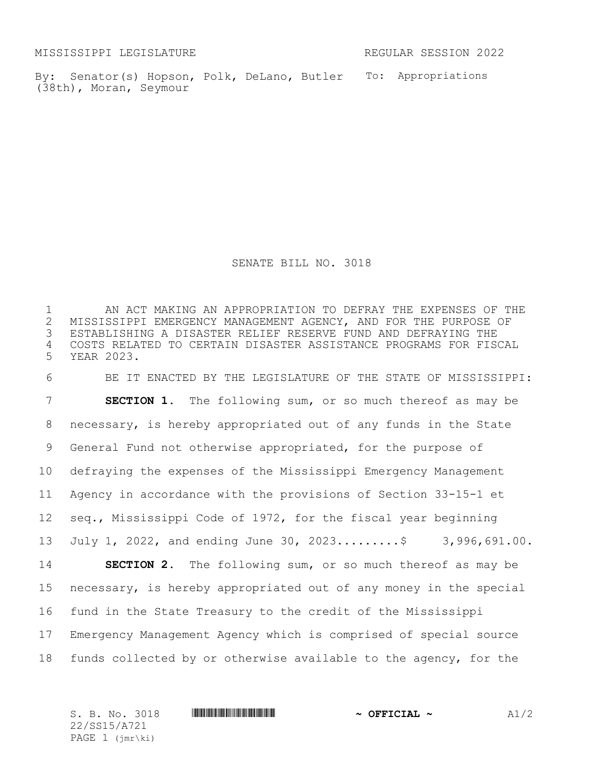MISSISSIPPI LEGISLATURE REGULAR SESSION 2022

By: Senator(s) Hopson, Polk, DeLano, Butler To: Appropriations (38th), Moran, Seymour

SENATE BILL NO. 3018

 AN ACT MAKING AN APPROPRIATION TO DEFRAY THE EXPENSES OF THE 2 MISSISSIPPI EMERGENCY MANAGEMENT AGENCY, AND FOR THE PURPOSE OF<br>3 ESTABLISHING A DISASTER RELIEF RESERVE FUND AND DEFRAYING THE ESTABLISHING A DISASTER RELIEF RESERVE FUND AND DEFRAYING THE COSTS RELATED TO CERTAIN DISASTER ASSISTANCE PROGRAMS FOR FISCAL YEAR 2023.

 BE IT ENACTED BY THE LEGISLATURE OF THE STATE OF MISSISSIPPI: **SECTION 1.** The following sum, or so much thereof as may be necessary, is hereby appropriated out of any funds in the State General Fund not otherwise appropriated, for the purpose of defraying the expenses of the Mississippi Emergency Management Agency in accordance with the provisions of Section 33-15-1 et seq., Mississippi Code of 1972, for the fiscal year beginning July 1, 2022, and ending June 30, 2023.........\$ 3,996,691.00. **SECTION 2.** The following sum, or so much thereof as may be necessary, is hereby appropriated out of any money in the special fund in the State Treasury to the credit of the Mississippi Emergency Management Agency which is comprised of special source funds collected by or otherwise available to the agency, for the

S. B. No. 3018 \*SS15/A721\* **~ OFFICIAL ~** A1/2 22/SS15/A721 PAGE 1 (jmr\ki)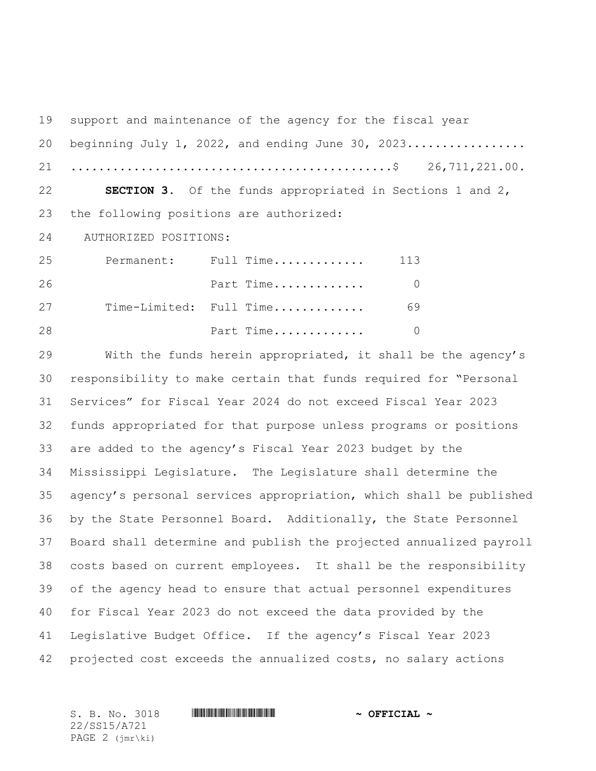support and maintenance of the agency for the fiscal year 20 beginning July 1, 2022, and ending June 30, 2023................. ..............................................\$ 26,711,221.00. **SECTION 3.** Of the funds appropriated in Sections 1 and 2, the following positions are authorized: 24 AUTHORIZED POSITIONS: Permanent: Full Time............. 113 Part Time............. 0 Time-Limited: Full Time............. 69 **Part Time.............** 0

 With the funds herein appropriated, it shall be the agency's responsibility to make certain that funds required for "Personal Services" for Fiscal Year 2024 do not exceed Fiscal Year 2023 funds appropriated for that purpose unless programs or positions are added to the agency's Fiscal Year 2023 budget by the Mississippi Legislature. The Legislature shall determine the agency's personal services appropriation, which shall be published by the State Personnel Board. Additionally, the State Personnel Board shall determine and publish the projected annualized payroll costs based on current employees. It shall be the responsibility of the agency head to ensure that actual personnel expenditures for Fiscal Year 2023 do not exceed the data provided by the Legislative Budget Office. If the agency's Fiscal Year 2023 projected cost exceeds the annualized costs, no salary actions

22/SS15/A721 PAGE 2 (jmr\ki)

S. B. No. 3018 \*SS15/A721\* **~ OFFICIAL ~**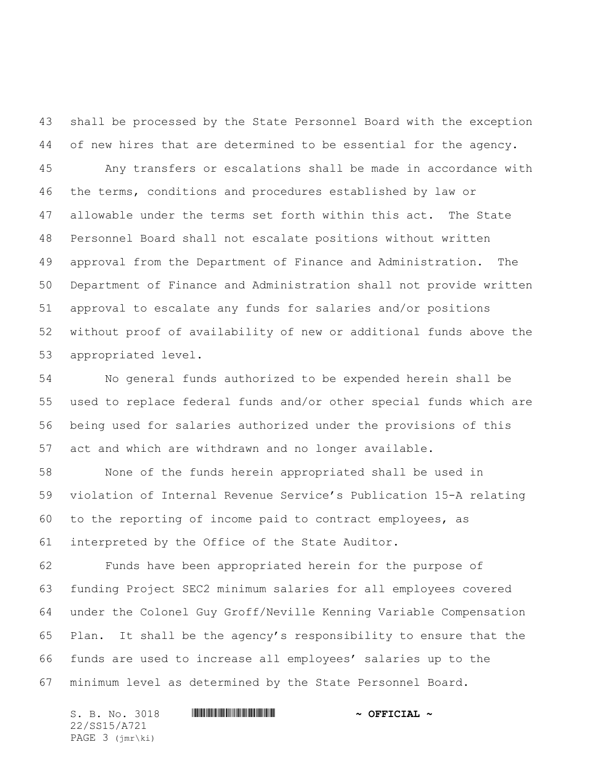shall be processed by the State Personnel Board with the exception of new hires that are determined to be essential for the agency.

 Any transfers or escalations shall be made in accordance with the terms, conditions and procedures established by law or allowable under the terms set forth within this act. The State Personnel Board shall not escalate positions without written approval from the Department of Finance and Administration. The Department of Finance and Administration shall not provide written approval to escalate any funds for salaries and/or positions without proof of availability of new or additional funds above the appropriated level.

 No general funds authorized to be expended herein shall be used to replace federal funds and/or other special funds which are being used for salaries authorized under the provisions of this act and which are withdrawn and no longer available.

 None of the funds herein appropriated shall be used in violation of Internal Revenue Service's Publication 15-A relating to the reporting of income paid to contract employees, as interpreted by the Office of the State Auditor.

 Funds have been appropriated herein for the purpose of funding Project SEC2 minimum salaries for all employees covered under the Colonel Guy Groff/Neville Kenning Variable Compensation Plan. It shall be the agency's responsibility to ensure that the funds are used to increase all employees' salaries up to the minimum level as determined by the State Personnel Board.

S. B. No. 3018 \*SS15/A721\* **~ OFFICIAL ~** 22/SS15/A721 PAGE 3 (jmr\ki)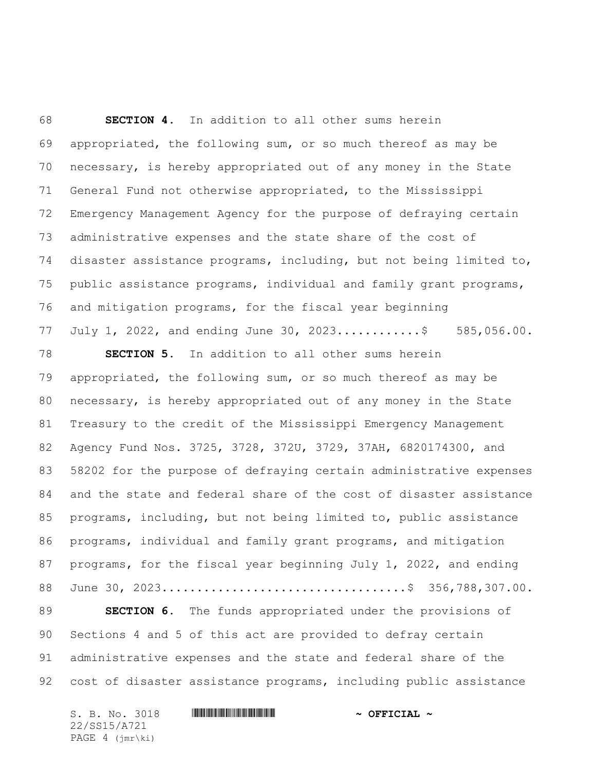**SECTION 4.** In addition to all other sums herein appropriated, the following sum, or so much thereof as may be necessary, is hereby appropriated out of any money in the State General Fund not otherwise appropriated, to the Mississippi Emergency Management Agency for the purpose of defraying certain administrative expenses and the state share of the cost of disaster assistance programs, including, but not being limited to, public assistance programs, individual and family grant programs, and mitigation programs, for the fiscal year beginning July 1, 2022, and ending June 30, 2023............\$ 585,056.00.

 **SECTION 5.** In addition to all other sums herein appropriated, the following sum, or so much thereof as may be necessary, is hereby appropriated out of any money in the State Treasury to the credit of the Mississippi Emergency Management Agency Fund Nos. 3725, 3728, 372U, 3729, 37AH, 6820174300, and 58202 for the purpose of defraying certain administrative expenses and the state and federal share of the cost of disaster assistance programs, including, but not being limited to, public assistance programs, individual and family grant programs, and mitigation programs, for the fiscal year beginning July 1, 2022, and ending June 30, 2023...................................\$ 356,788,307.00. **SECTION 6.** The funds appropriated under the provisions of Sections 4 and 5 of this act are provided to defray certain

 administrative expenses and the state and federal share of the cost of disaster assistance programs, including public assistance

S. B. No. 3018 \*SS15/A721\* **~ OFFICIAL ~** 22/SS15/A721 PAGE 4 (jmr\ki)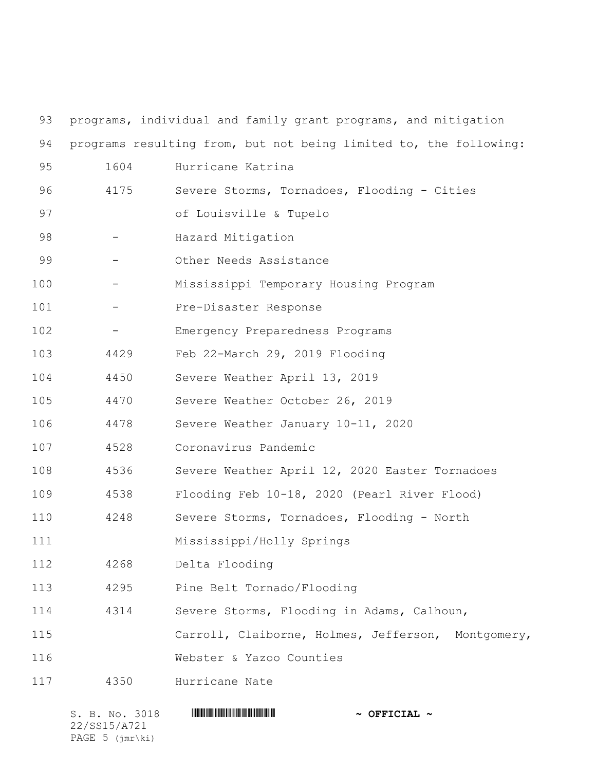| 93  |      | programs, individual and family grant programs, and mitigation    |
|-----|------|-------------------------------------------------------------------|
| 94  |      | programs resulting from, but not being limited to, the following: |
| 95  | 1604 | Hurricane Katrina                                                 |
| 96  | 4175 | Severe Storms, Tornadoes, Flooding - Cities                       |
| 97  |      | of Louisville & Tupelo                                            |
| 98  |      | Hazard Mitigation                                                 |
| 99  |      | Other Needs Assistance                                            |
| 100 |      | Mississippi Temporary Housing Program                             |
| 101 |      | Pre-Disaster Response                                             |
| 102 |      | Emergency Preparedness Programs                                   |
| 103 | 4429 | Feb 22-March 29, 2019 Flooding                                    |
| 104 | 4450 | Severe Weather April 13, 2019                                     |
| 105 | 4470 | Severe Weather October 26, 2019                                   |
| 106 | 4478 | Severe Weather January 10-11, 2020                                |
| 107 | 4528 | Coronavirus Pandemic                                              |
| 108 | 4536 | Severe Weather April 12, 2020 Easter Tornadoes                    |
| 109 | 4538 | Flooding Feb 10-18, 2020 (Pearl River Flood)                      |
| 110 | 4248 | Severe Storms, Tornadoes, Flooding - North                        |
| 111 |      | Mississippi/Holly Springs                                         |
| 112 | 4268 | Delta Flooding                                                    |
| 113 | 4295 | Pine Belt Tornado/Flooding                                        |
| 114 | 4314 | Severe Storms, Flooding in Adams, Calhoun,                        |
| 115 |      | Carroll, Claiborne, Holmes, Jefferson, Montgomery,                |
| 116 |      | Webster & Yazoo Counties                                          |
| 117 | 4350 | Hurricane Nate                                                    |

| S. B. No. 3018  |  | $\sim$ OFFICIAL $\sim$ |  |  |  |
|-----------------|--|------------------------|--|--|--|
| 22/SS15/A721    |  |                        |  |  |  |
| PAGE 5 (jmr\ki) |  |                        |  |  |  |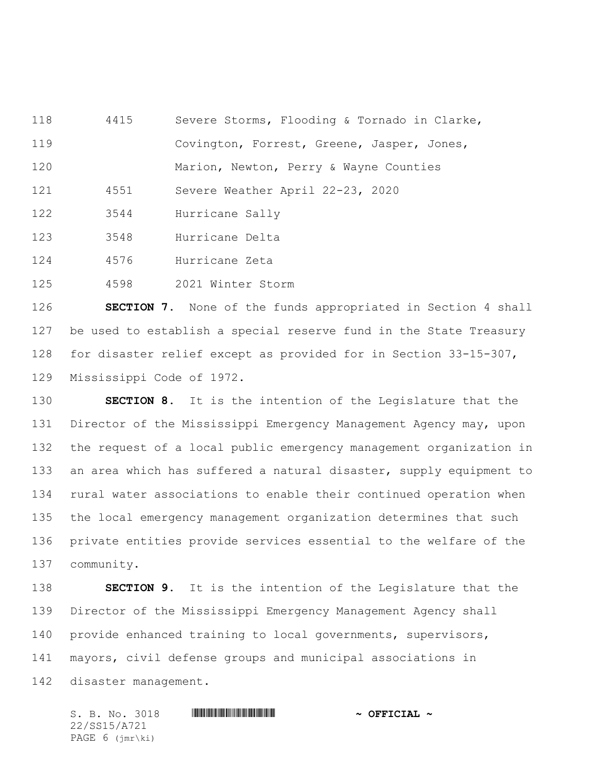4415 Severe Storms, Flooding & Tornado in Clarke,

Covington, Forrest, Greene, Jasper, Jones,

120 Marion, Newton, Perry & Wayne Counties

4551 Severe Weather April 22-23, 2020

3544 Hurricane Sally

3548 Hurricane Delta

4576 Hurricane Zeta

4598 2021 Winter Storm

 **SECTION 7.** None of the funds appropriated in Section 4 shall be used to establish a special reserve fund in the State Treasury for disaster relief except as provided for in Section 33-15-307, Mississippi Code of 1972.

 **SECTION 8.** It is the intention of the Legislature that the 131 Director of the Mississippi Emergency Management Agency may, upon the request of a local public emergency management organization in an area which has suffered a natural disaster, supply equipment to rural water associations to enable their continued operation when the local emergency management organization determines that such private entities provide services essential to the welfare of the community.

 **SECTION 9.** It is the intention of the Legislature that the Director of the Mississippi Emergency Management Agency shall provide enhanced training to local governments, supervisors, mayors, civil defense groups and municipal associations in disaster management.

S. B. No. 3018 \*SS15/A721\* **~ OFFICIAL ~** 22/SS15/A721 PAGE 6 (jmr\ki)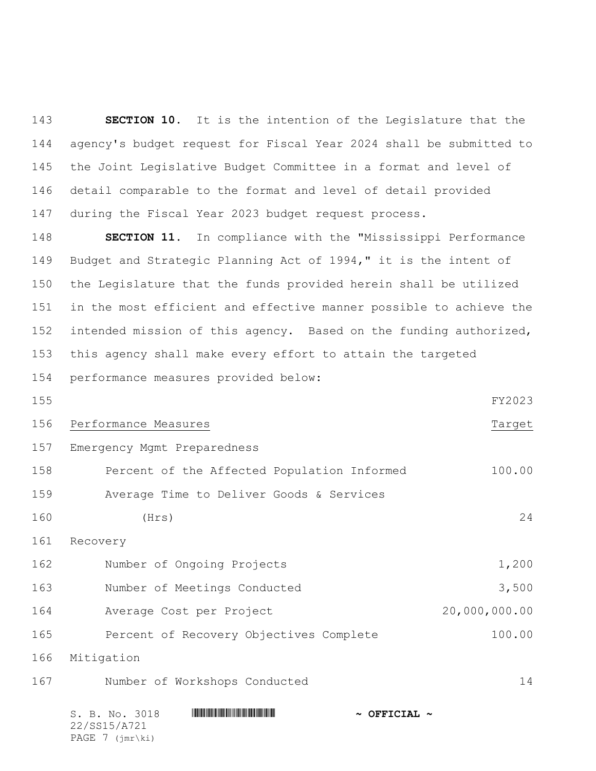**SECTION 10.** It is the intention of the Legislature that the agency's budget request for Fiscal Year 2024 shall be submitted to the Joint Legislative Budget Committee in a format and level of detail comparable to the format and level of detail provided during the Fiscal Year 2023 budget request process.

 **SECTION 11.** In compliance with the "Mississippi Performance Budget and Strategic Planning Act of 1994," it is the intent of the Legislature that the funds provided herein shall be utilized in the most efficient and effective manner possible to achieve the intended mission of this agency. Based on the funding authorized, this agency shall make every effort to attain the targeted performance measures provided below:

 FY2023 156 Performance Measures Target Emergency Mgmt Preparedness Percent of the Affected Population Informed 100.00

Average Time to Deliver Goods & Services

160 (Hrs) 24

Recovery

| 162 | Number of Ongoing Projects   | 1,200         |
|-----|------------------------------|---------------|
| 163 | Number of Meetings Conducted | 3,500         |
| 164 | Average Cost per Project     | 20,000,000.00 |

Percent of Recovery Objectives Complete 100.00

Mitigation

Number of Workshops Conducted 14

| S. B. No. 3018             | $\sim$ OFFICIAL $\sim$ |
|----------------------------|------------------------|
| 22/SS15/A721               |                        |
| PAGE $7$ ( $\text{imr}\$ ) |                        |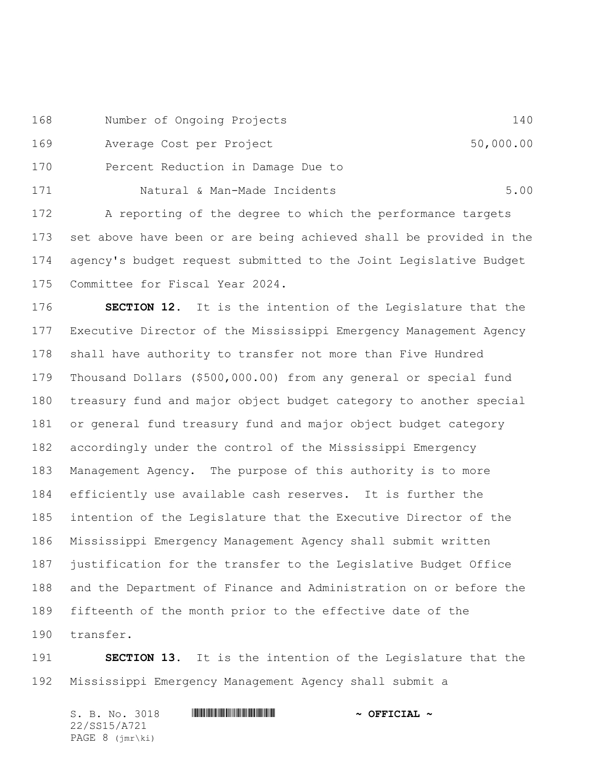Number of Ongoing Projects 140

169 Average Cost per Project 50,000.00

Percent Reduction in Damage Due to

171 Natural & Man-Made Incidents 6.00 A reporting of the degree to which the performance targets set above have been or are being achieved shall be provided in the agency's budget request submitted to the Joint Legislative Budget Committee for Fiscal Year 2024.

 **SECTION 12.** It is the intention of the Legislature that the Executive Director of the Mississippi Emergency Management Agency shall have authority to transfer not more than Five Hundred Thousand Dollars (\$500,000.00) from any general or special fund treasury fund and major object budget category to another special or general fund treasury fund and major object budget category accordingly under the control of the Mississippi Emergency Management Agency. The purpose of this authority is to more efficiently use available cash reserves. It is further the intention of the Legislature that the Executive Director of the Mississippi Emergency Management Agency shall submit written justification for the transfer to the Legislative Budget Office and the Department of Finance and Administration on or before the fifteenth of the month prior to the effective date of the transfer.

 **SECTION 13.** It is the intention of the Legislature that the Mississippi Emergency Management Agency shall submit a

| S. B. No. 3018    | $\sim$ OFFICIAL $\sim$ |
|-------------------|------------------------|
| 22/SS15/A721      |                        |
| PAGE $8$ (imr\ki) |                        |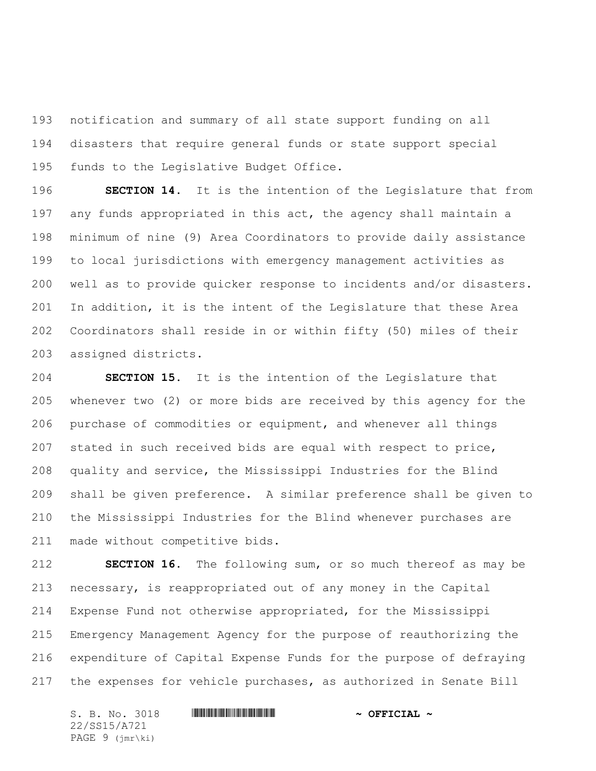notification and summary of all state support funding on all disasters that require general funds or state support special funds to the Legislative Budget Office.

 **SECTION 14.** It is the intention of the Legislature that from any funds appropriated in this act, the agency shall maintain a minimum of nine (9) Area Coordinators to provide daily assistance to local jurisdictions with emergency management activities as well as to provide quicker response to incidents and/or disasters. In addition, it is the intent of the Legislature that these Area Coordinators shall reside in or within fifty (50) miles of their assigned districts.

 **SECTION 15.** It is the intention of the Legislature that whenever two (2) or more bids are received by this agency for the purchase of commodities or equipment, and whenever all things stated in such received bids are equal with respect to price, quality and service, the Mississippi Industries for the Blind shall be given preference. A similar preference shall be given to the Mississippi Industries for the Blind whenever purchases are made without competitive bids.

 **SECTION 16.** The following sum, or so much thereof as may be necessary, is reappropriated out of any money in the Capital Expense Fund not otherwise appropriated, for the Mississippi Emergency Management Agency for the purpose of reauthorizing the expenditure of Capital Expense Funds for the purpose of defraying the expenses for vehicle purchases, as authorized in Senate Bill

S. B. No. 3018 \*SS15/A721\* **~ OFFICIAL ~** 22/SS15/A721 PAGE 9 (jmr\ki)